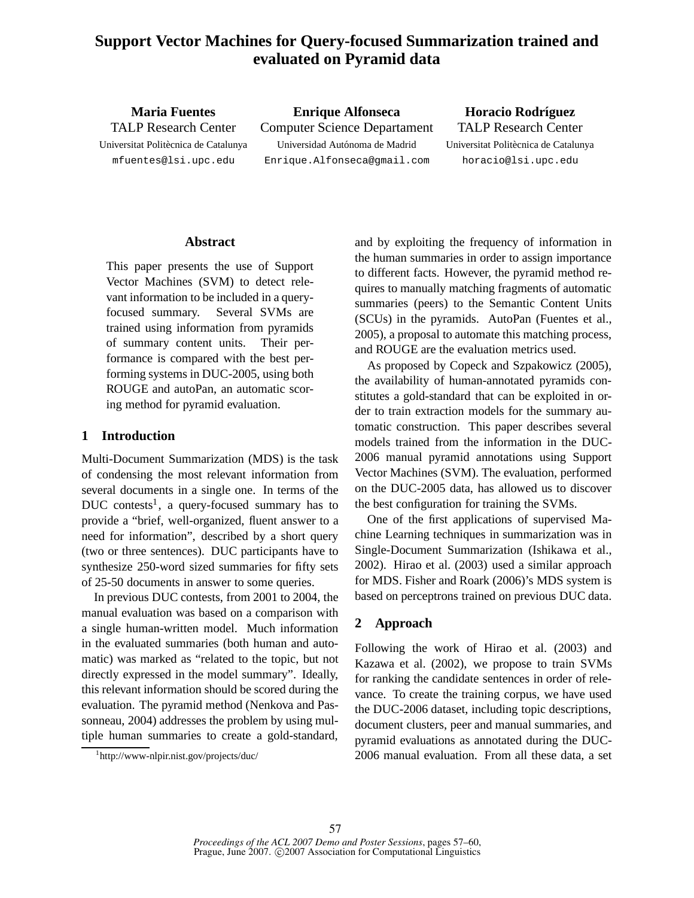# **Support Vector Machines for Query-focused Summarization trained and evaluated on Pyramid data**

**Maria Fuentes** TALP Research Center Universitat Politècnica de Catalunya mfuentes@lsi.upc.edu

**Enrique Alfonseca** Computer Science Departament Universidad Autónoma de Madrid Enrique.Alfonseca@gmail.com

**Horacio Rodríguez** TALP Research Center Universitat Politècnica de Catalunya horacio@lsi.upc.edu

### **Abstract**

This paper presents the use of Support Vector Machines (SVM) to detect relevant information to be included in a queryfocused summary. Several SVMs are trained using information from pyramids of summary content units. Their performance is compared with the best performing systems in DUC-2005, using both ROUGE and autoPan, an automatic scoring method for pyramid evaluation.

## **1 Introduction**

Multi-Document Summarization (MDS) is the task of condensing the most relevant information from several documents in a single one. In terms of the DUC contests<sup>1</sup>, a query-focused summary has to provide a "brief, well-organized, fluent answer to a need for information", described by a short query (two or three sentences). DUC participants have to synthesize 250-word sized summaries for fifty sets of 25-50 documents in answer to some queries.

In previous DUC contests, from 2001 to 2004, the manual evaluation was based on a comparison with a single human-written model. Much information in the evaluated summaries (both human and automatic) was marked as "related to the topic, but not directly expressed in the model summary". Ideally, this relevant information should be scored during the evaluation. The pyramid method (Nenkova and Passonneau, 2004) addresses the problem by using multiple human summaries to create a gold-standard,

1 http://www-nlpir.nist.gov/projects/duc/

and by exploiting the frequency of information in the human summaries in order to assign importance to different facts. However, the pyramid method requires to manually matching fragments of automatic summaries (peers) to the Semantic Content Units (SCUs) in the pyramids. AutoPan (Fuentes et al., 2005), a proposal to automate this matching process, and ROUGE are the evaluation metrics used.

As proposed by Copeck and Szpakowicz (2005), the availability of human-annotated pyramids constitutes a gold-standard that can be exploited in order to train extraction models for the summary automatic construction. This paper describes several models trained from the information in the DUC-2006 manual pyramid annotations using Support Vector Machines (SVM). The evaluation, performed on the DUC-2005 data, has allowed us to discover the best configuration for training the SVMs.

One of the first applications of supervised Machine Learning techniques in summarization was in Single-Document Summarization (Ishikawa et al., 2002). Hirao et al. (2003) used a similar approach for MDS. Fisher and Roark (2006)'s MDS system is based on perceptrons trained on previous DUC data.

# **2 Approach**

Following the work of Hirao et al. (2003) and Kazawa et al. (2002), we propose to train SVMs for ranking the candidate sentences in order of relevance. To create the training corpus, we have used the DUC-2006 dataset, including topic descriptions, document clusters, peer and manual summaries, and pyramid evaluations as annotated during the DUC-2006 manual evaluation. From all these data, a set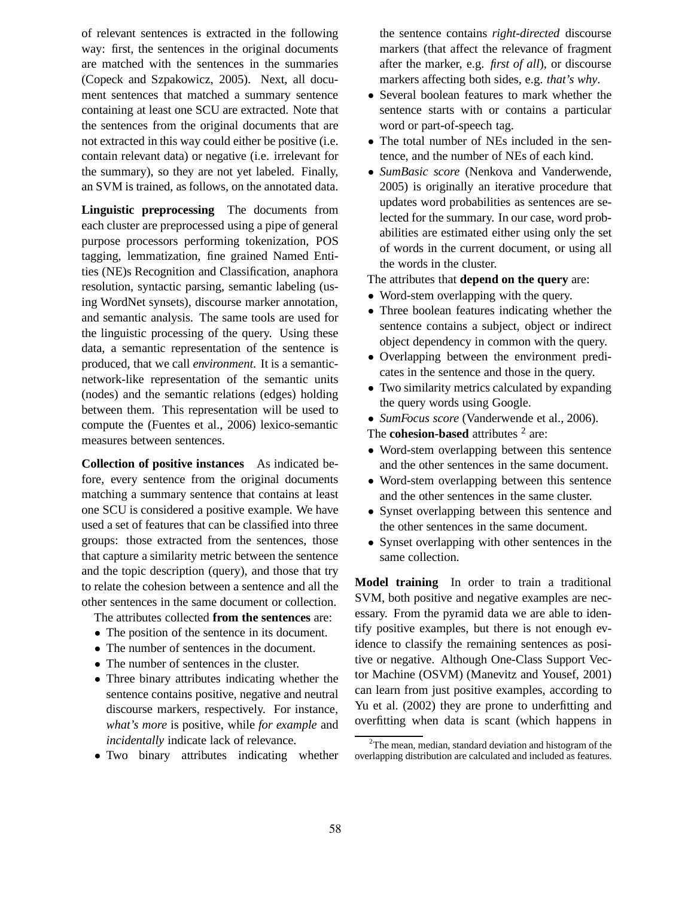of relevant sentences is extracted in the following way: first, the sentences in the original documents are matched with the sentences in the summaries (Copeck and Szpakowicz, 2005). Next, all document sentences that matched a summary sentence containing at least one SCU are extracted. Note that the sentences from the original documents that are not extracted in this way could either be positive (i.e. contain relevant data) or negative (i.e. irrelevant for the summary), so they are not yet labeled. Finally, an SVM is trained, as follows, on the annotated data.

**Linguistic preprocessing** The documents from each cluster are preprocessed using a pipe of general purpose processors performing tokenization, POS tagging, lemmatization, fine grained Named Entities (NE)s Recognition and Classification, anaphora resolution, syntactic parsing, semantic labeling (using WordNet synsets), discourse marker annotation, and semantic analysis. The same tools are used for the linguistic processing of the query. Using these data, a semantic representation of the sentence is produced, that we call *environment*. It is a semanticnetwork-like representation of the semantic units (nodes) and the semantic relations (edges) holding between them. This representation will be used to compute the (Fuentes et al., 2006) lexico-semantic measures between sentences.

**Collection of positive instances** As indicated before, every sentence from the original documents matching a summary sentence that contains at least one SCU is considered a positive example. We have used a set of features that can be classified into three groups: those extracted from the sentences, those that capture a similarity metric between the sentence and the topic description (query), and those that try to relate the cohesion between a sentence and all the other sentences in the same document or collection.

The attributes collected **from the sentences** are:

- The position of the sentence in its document.
- The number of sentences in the document.
- The number of sentences in the cluster.
- Three binary attributes indicating whether the sentence contains positive, negative and neutral discourse markers, respectively. For instance, *what's more* is positive, while *for example* and *incidentally* indicate lack of relevance.
- Two binary attributes indicating whether

the sentence contains *right-directed* discourse markers (that affect the relevance of fragment after the marker, e.g. *first of all*), or discourse markers affecting both sides, e.g. *that's why*.

- Several boolean features to mark whether the sentence starts with or contains a particular word or part-of-speech tag.
- The total number of NEs included in the sentence, and the number of NEs of each kind.
- *SumBasic score* (Nenkova and Vanderwende, 2005) is originally an iterative procedure that updates word probabilities as sentences are selected for the summary. In our case, word probabilities are estimated either using only the set of words in the current document, or using all the words in the cluster.

The attributes that **depend on the query** are:

- Word-stem overlapping with the query.
- Three boolean features indicating whether the sentence contains a subject, object or indirect object dependency in common with the query.
- Overlapping between the environment predicates in the sentence and those in the query.
- Two similarity metrics calculated by expanding the query words using Google.
- *SumFocus score* (Vanderwende et al., 2006).

The **cohesion-based** attributes <sup>2</sup> are:

- Word-stem overlapping between this sentence and the other sentences in the same document.
- Word-stem overlapping between this sentence and the other sentences in the same cluster.
- Synset overlapping between this sentence and the other sentences in the same document.
- Synset overlapping with other sentences in the same collection.

**Model training** In order to train a traditional SVM, both positive and negative examples are necessary. From the pyramid data we are able to identify positive examples, but there is not enough evidence to classify the remaining sentences as positive or negative. Although One-Class Support Vector Machine (OSVM) (Manevitz and Yousef, 2001) can learn from just positive examples, according to Yu et al. (2002) they are prone to underfitting and overfitting when data is scant (which happens in

 $2$ The mean, median, standard deviation and histogram of the overlapping distribution are calculated and included as features.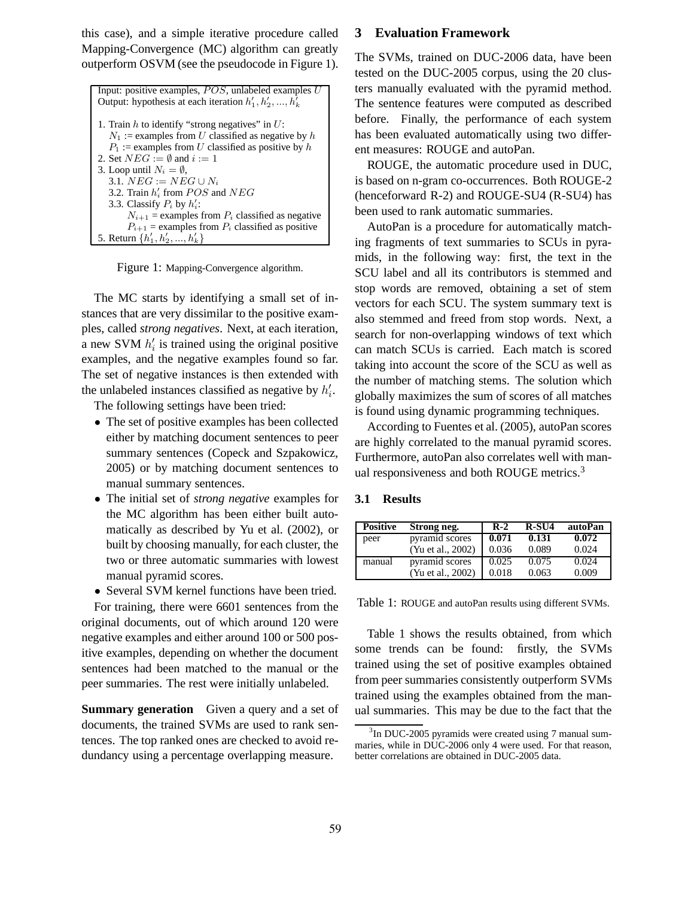this case), and a simple iterative procedure called Mapping-Convergence (MC) algorithm can greatly outperform OSVM (see the pseudocode in Figure 1).

```
Input: positive examples, POS, unlabeled examples UOutput: hypothesis at each iteration h'_1, h'_2, ..., h'_k1. Train h to identify "strong negatives" in U:
   N_1 := examples from U classified as negative by h
   P_1 := examples from U classified as positive by h
2. Set NEG := \emptyset and i := 13. Loop until N_i = \emptyset,
  3.1. NEG := NEG \cup N_i3.2. Train h'_i from POS and NEG3.3. Classify P_i by h'_i:
       N_{i+1} = examples from P_i classified as negative
       P_{i+1} = examples from P_i classified as positive
5. Return \{h'_1, h'_2, ..., h'_k\}
```
Figure 1: Mapping-Convergence algorithm.

The MC starts by identifying a small set of instances that are very dissimilar to the positive examples, called *strong negatives*. Next, at each iteration, a new SVM  $h'_i$  is trained using the original positive examples, and the negative examples found so far. The set of negative instances is then extended with the unlabeled instances classified as negative by  $h'_i$ .

The following settings have been tried:

- The set of positive examples has been collected either by matching document sentences to peer summary sentences (Copeck and Szpakowicz, 2005) or by matching document sentences to manual summary sentences.
- The initial set of *strong negative* examples for the MC algorithm has been either built automatically as described by Yu et al. (2002), or built by choosing manually, for each cluster, the two or three automatic summaries with lowest manual pyramid scores.

• Several SVM kernel functions have been tried. For training, there were 6601 sentences from the original documents, out of which around 120 were negative examples and either around 100 or 500 positive examples, depending on whether the document sentences had been matched to the manual or the peer summaries. The rest were initially unlabeled.

**Summary generation** Given a query and a set of documents, the trained SVMs are used to rank sentences. The top ranked ones are checked to avoid redundancy using a percentage overlapping measure.

#### **3 Evaluation Framework**

The SVMs, trained on DUC-2006 data, have been tested on the DUC-2005 corpus, using the 20 clusters manually evaluated with the pyramid method. The sentence features were computed as described before. Finally, the performance of each system has been evaluated automatically using two different measures: ROUGE and autoPan.

ROUGE, the automatic procedure used in DUC, is based on n-gram co-occurrences. Both ROUGE-2 (henceforward R-2) and ROUGE-SU4 (R-SU4) has been used to rank automatic summaries.

AutoPan is a procedure for automatically matching fragments of text summaries to SCUs in pyramids, in the following way: first, the text in the SCU label and all its contributors is stemmed and stop words are removed, obtaining a set of stem vectors for each SCU. The system summary text is also stemmed and freed from stop words. Next, a search for non-overlapping windows of text which can match SCUs is carried. Each match is scored taking into account the score of the SCU as well as the number of matching stems. The solution which globally maximizes the sum of scores of all matches is found using dynamic programming techniques.

According to Fuentes et al. (2005), autoPan scores are highly correlated to the manual pyramid scores. Furthermore, autoPan also correlates well with manual responsiveness and both ROUGE metrics.<sup>3</sup>

#### **3.1 Results**

| <b>Positive</b> | Strong neg.       | $R-2$ | $R-SU4$ | autoPan |
|-----------------|-------------------|-------|---------|---------|
| peer            | pyramid scores    | 0.071 | 0.131   | 0.072   |
|                 | (Yu et al., 2002) | 0.036 | 0.089   | 0.024   |
| manual          | pyramid scores    | 0.025 | 0.075   | 0.024   |
|                 | (Yu et al., 2002) | 0.018 | 0.063   | 0.009   |

Table 1: ROUGE and autoPan results using different SVMs.

Table 1 shows the results obtained, from which some trends can be found: firstly, the SVMs trained using the set of positive examples obtained from peer summaries consistently outperform SVMs trained using the examples obtained from the manual summaries. This may be due to the fact that the

<sup>&</sup>lt;sup>3</sup>In DUC-2005 pyramids were created using 7 manual summaries, while in DUC-2006 only 4 were used. For that reason, better correlations are obtained in DUC-2005 data.